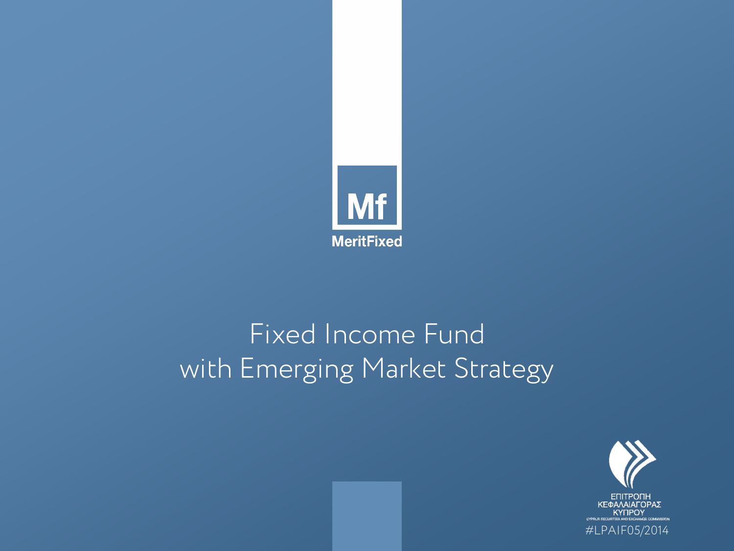

### Fixed Income Fund with Emerging Market Strategy

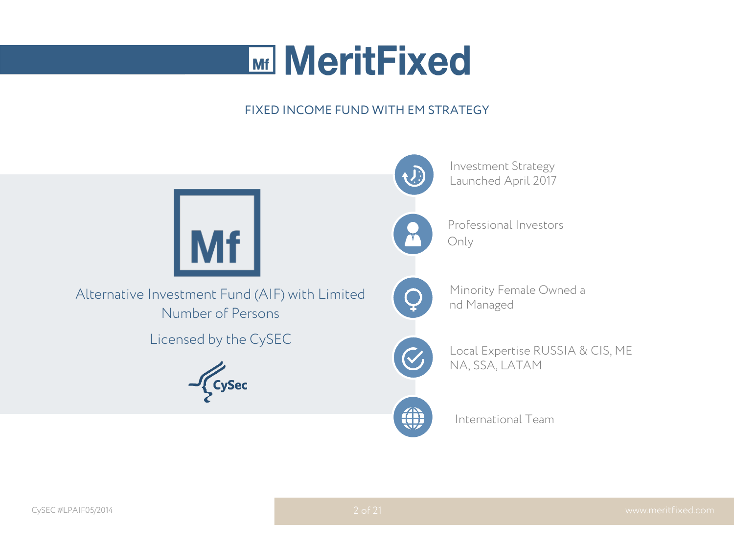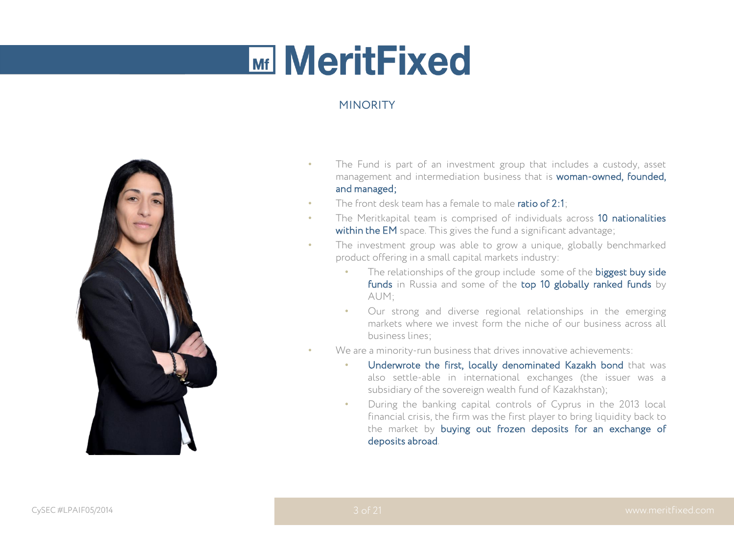### **MINORITY**



- The Fund is part of an investment group that includes a custody, asset management and intermediation business that is woman-owned, founded, and managed;
- The front desk team has a female to male ratio of 2:1;
- The Meritkapital team is comprised of individuals across 10 nationalities within the EM space. This gives the fund a significant advantage;
- The investment group was able to grow a unique, globally benchmarked product offering in a small capital markets industry:
	- The relationships of the group include some of the biggest buy side funds in Russia and some of the top 10 globally ranked funds by AUM;
	- Our strong and diverse regional relationships in the emerging markets where we invest form the niche of our business across all business lines;
- We are a minority-run business that drives innovative achievements:
	- Underwrote the first, locally denominated Kazakh bond that was also settle-able in international exchanges (the issuer was a subsidiary of the sovereign wealth fund of Kazakhstan);
- During the banking capital controls of Cyprus in the 2013 local financial crisis, the firm was the first player to bring liquidity back to the market by buying out frozen deposits for an exchange of deposits abroad. MINORITY<br>
The Fund is<br>
management<br>
Independence<br>
The front des<br>
Vithin the EM<br>
The investme<br>
product offeri<br>
Finds<br>
AUM;<br>
Our s<br>
marke<br>
busine<br>
We are a mind<br>
Ne are a mind<br>
Subsid<br>
During<br>
financ<br>
the m<br>
depos<br>
3 of 21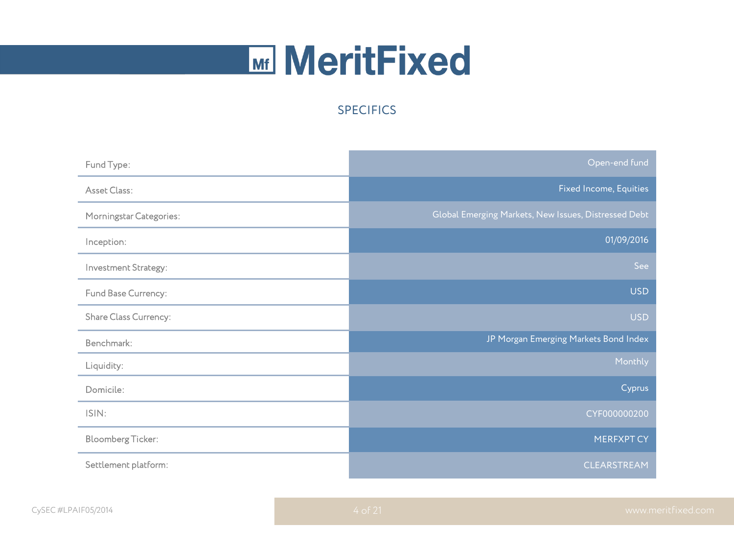### **SPECIFICS**

|                          | <b>SPECIFICS</b> |                                                      |
|--------------------------|------------------|------------------------------------------------------|
|                          |                  |                                                      |
| Fund Type:               |                  | Open-end fund                                        |
| Asset Class:             |                  | Fixed Income, Equities                               |
| Morningstar Categories:  |                  | Global Emerging Markets, New Issues, Distressed Debt |
| Inception:               |                  | 01/09/2016                                           |
| Investment Strategy:     |                  | See                                                  |
| Fund Base Currency:      |                  | <b>USD</b>                                           |
| Share Class Currency:    |                  | <b>USD</b>                                           |
| Benchmark:               |                  | JP Morgan Emerging Markets Bond Index                |
| Liquidity:               |                  | Monthly                                              |
| Domicile:                |                  | Cyprus                                               |
| ISIN:                    |                  | CYF000000200                                         |
| <b>Bloomberg Ticker:</b> |                  | <b>MERFXPT CY</b>                                    |
| Settlement platform:     |                  | CLEARSTREAM                                          |
|                          |                  |                                                      |
| IF05/2014                | 4 of 21          | www.m                                                |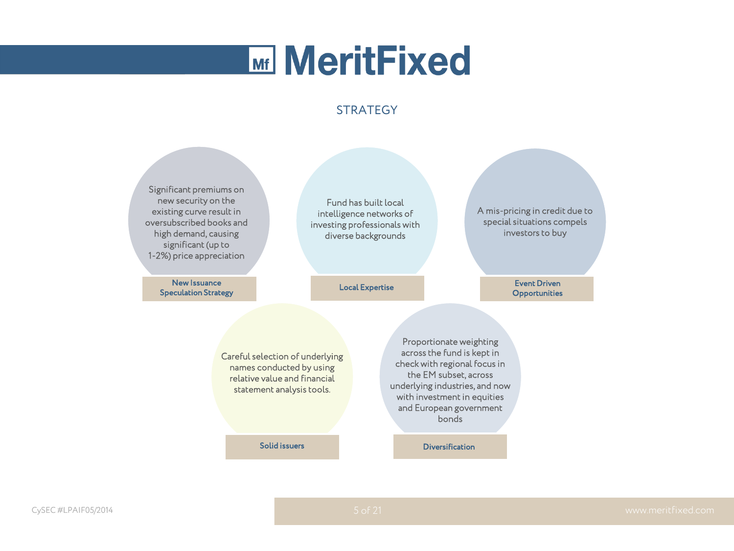#### **STRATEGY**

Significant premiums on new security on the existing curve result in oversubscribed books and high demand, causing significant (up to 1-2%) price appreciation

> New Issuance<br>Speculation Strategy New Issuance Event Driven (New System According to Local Expertise Reserves Inc. 2013)<br>Speculation Strategy (New York of According to Local Expertise Reserves Inc. 2014)

Fund has built local intelligence networks of investing professionals with diverse backgrounds

A mis-pricing in credit due to special situations compels investors to buy

**Opportunities** 

Careful selection of underlying names conducted by using relative value and financial statement analysis tools.

Proportionate weighting across the fund is kept in check with regional focus in the EM subset, across underlying industries, and now with investment in equities and European government bonds

Solid issuers **Diversification**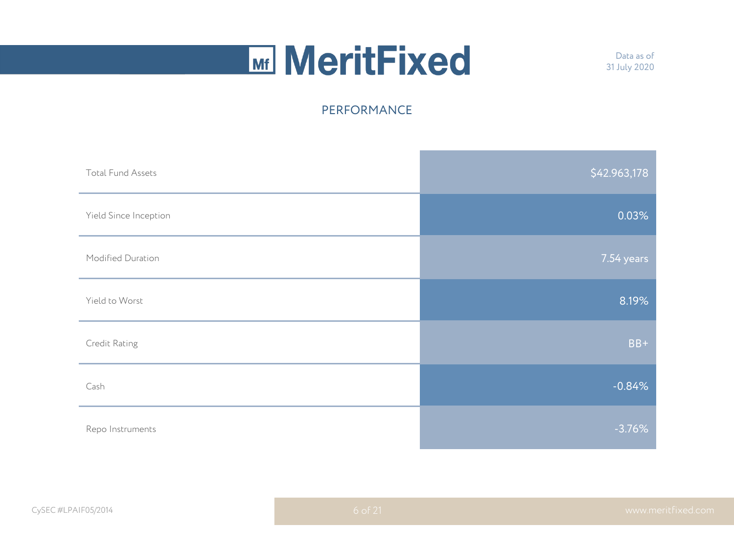Data as of 31 July 2020

|                          | PERFORMANCE |              |
|--------------------------|-------------|--------------|
| <b>Total Fund Assets</b> |             | \$42.963,178 |
| Yield Since Inception    |             | 0.03%        |
| Modified Duration        |             | 7.54 years   |
| Yield to Worst           |             | 8.19%        |
| Credit Rating            |             | $BB+$        |
| Cash                     |             | $-0.84%$     |
| Repo Instruments         |             | $-3.76%$     |
|                          |             |              |
| IF05/2014                | 6 of 21     | www.m        |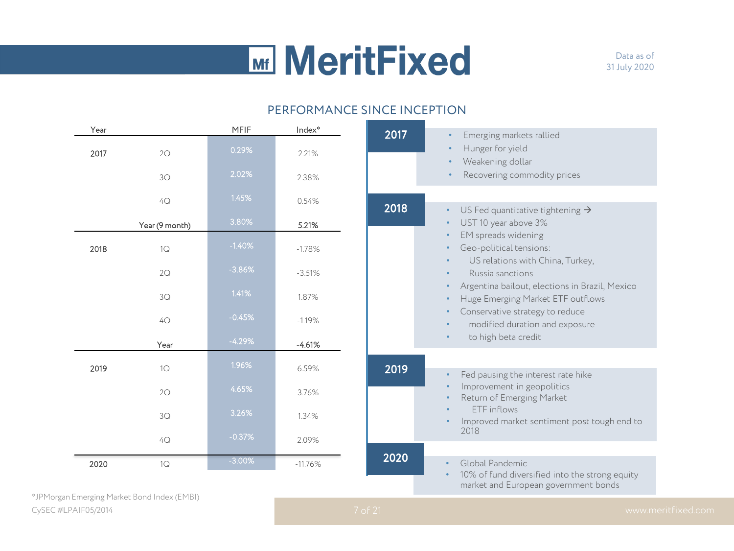#### PERFORMANCE SINCE INCEPTION

|      |                |          |                    | PERFORMANCE SINCE INCEPTION |                                                                                                               |
|------|----------------|----------|--------------------|-----------------------------|---------------------------------------------------------------------------------------------------------------|
| Year |                | MFIF     | Index <sup>®</sup> | 2017                        | Emerging markets rallied                                                                                      |
| 2017 | 2Q             | 0.29%    | 2.21%              |                             | Hunger for yield<br>Weakening dollar                                                                          |
|      | 3Q             | 2.02%    | 2.38%              |                             | Recovering commodity prices                                                                                   |
|      | $4\mathrm{Q}$  | 1.45%    | 0.54%              | 2018                        | US Fed quantitative tightening $\rightarrow$<br>$\bullet$                                                     |
|      | Year (9 month) | 3.80%    | 5.21%              |                             | UST 10 year above 3%<br>$\bullet$<br>EM spreads widening<br>$\bullet$                                         |
| 2018 | 1Q             | $-1.40%$ | $-1.78%$           |                             | Geo-political tensions:<br>$\bullet$                                                                          |
|      | 2Q             | $-3.86%$ | $-3.51%$           |                             | US relations with China, Turkey,<br>$\bullet$<br>Russia sanctions                                             |
|      | 3Q             | 1.41%    | 1.87%              |                             | Argentina bailout, elections in Brazil, Mexico<br>$\bullet$<br>Huge Emerging Market ETF outflows<br>$\bullet$ |
|      | $4\mathrm{Q}$  | $-0.45%$ | $-1.19%$           |                             | Conservative strategy to reduce<br>$\bullet$<br>modified duration and exposure<br>$\bullet$                   |
|      | Year           | $-4.29%$ | $-4.61%$           |                             | to high beta credit<br>$\bullet$                                                                              |
| 2019 | 1Q             | 1.96%    | 6.59%              | 2019                        | Fed pausing the interest rate hike<br>$\bullet$                                                               |
|      | 2Q             | 4.65%    | 3.76%              |                             | Improvement in geopolitics<br>Return of Emerging Market                                                       |
|      | 3Q             | 3.26%    | 1.34%              |                             | ETF inflows<br>Improved market sentiment post tough end to                                                    |
|      | 4Q             | $-0.37%$ | 2.09%              |                             | 2018                                                                                                          |
| 2020 | 1Q             | $-3.00%$ | $-11.76%$          | 2020                        | Global Pandemic<br>$\bullet$                                                                                  |

CySEC #LPAIF05/2014 www.meritfixed.com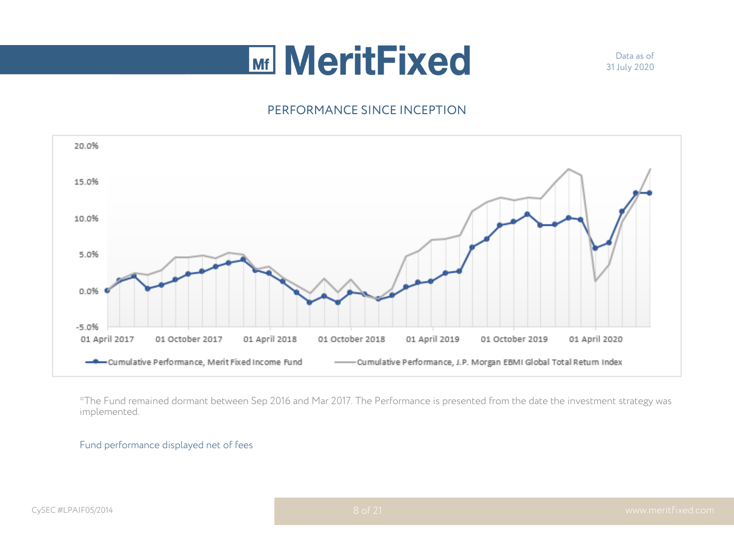Data as of 31 July 2020



\*The Fund remained dormant between Sep 2016 and Mar 2017. The Performance is presented from the date the investment strategy was implemented.

#### Fund performance displayed net of fees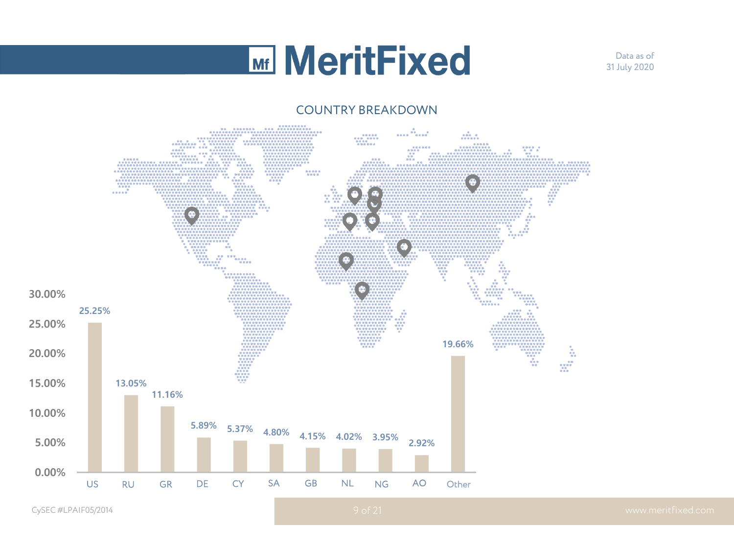Data as of 31 July 2020

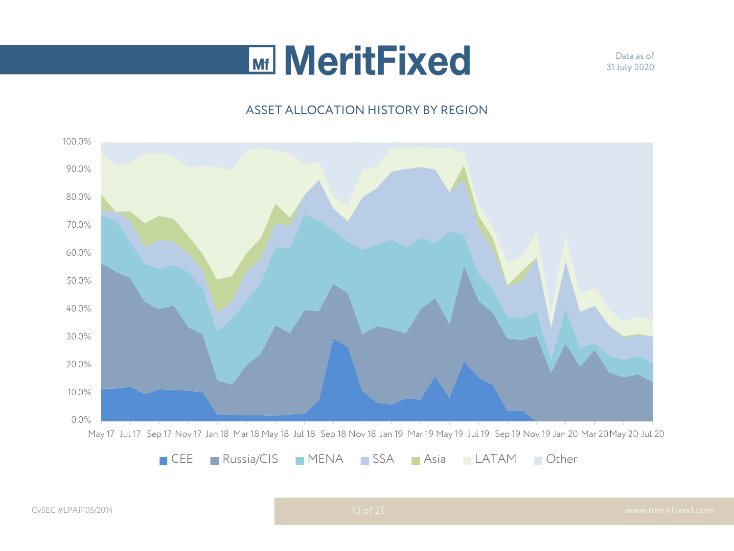Data as of 31 July 2020

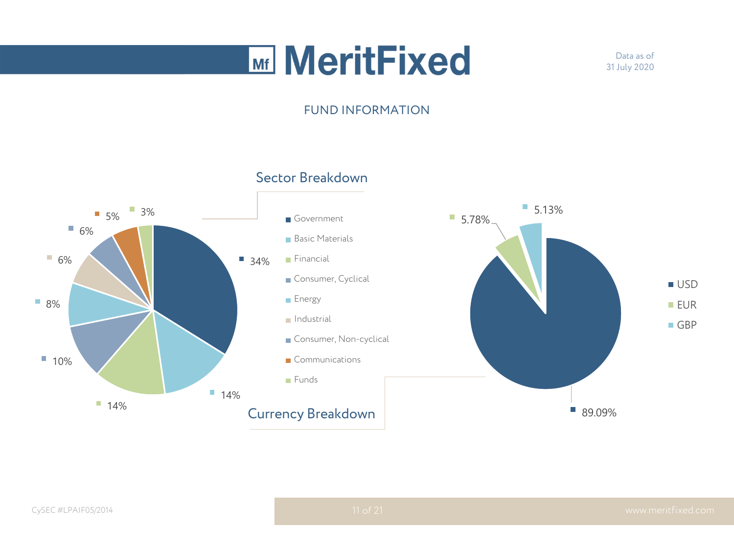Data as of 31 July 2020

#### FUND INFORMATION

### Sector Breakdown

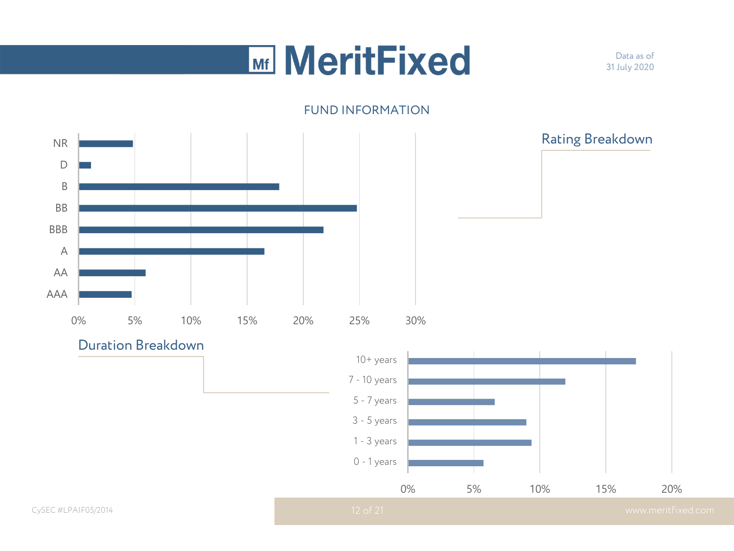## **Mini MeritFixed**

Data as of 31 July 2020

#### FUND INFORMATION

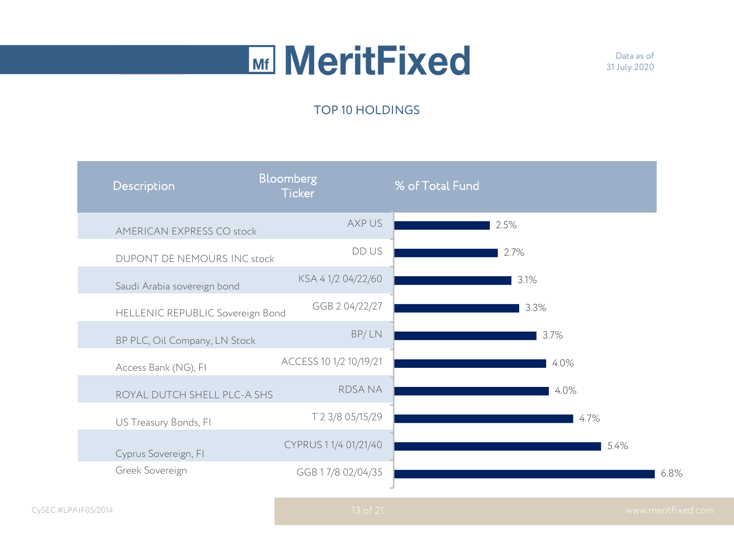Data as of 31 July 2020

### TOP 10 HOLDINGS

| Description                      | <b>Bloomberg</b><br><b>Ticker</b> | % of Total Fund |      |
|----------------------------------|-----------------------------------|-----------------|------|
| <b>AMERICAN EXPRESS CO stock</b> | AXP US                            |                 | 2.5% |
| DUPONT DE NEMOURS INC stock      | DD US                             |                 | 2.7% |
| Saudi Arabia sovereign bond      | KSA 41/204/22/60                  |                 | 3.1% |
| HELLENIC REPUBLIC Sovereign Bond | GGB 2 04/22/27                    |                 | 3.3% |
| BP PLC, Oil Company, LN Stock    | BP/LN                             |                 | 3.7% |
| Access Bank (NG), FI             | ACCESS 10 1/2 10/19/21            |                 | 4.0% |
| ROYAL DUTCH SHELL PLC-A SHS      | <b>RDSANA</b>                     |                 | 4.0% |
| US Treasury Bonds, FI            | T 2 3/8 05/15/29                  |                 | 4.7% |
| Cyprus Sovereign, FI             | CYPRUS 1 1/4 01/21/40             |                 | 5.4% |
| Greek Sovereign                  | GGB 17/8 02/04/35                 |                 |      |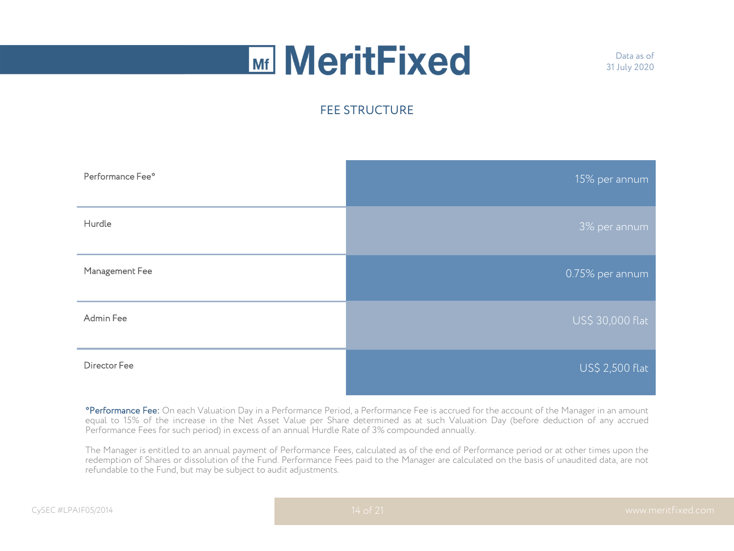Data as of 31 July 2020

### FEE STRUCTURE



\*Performance Fee: On each Valuation Day in a Performance Period, a Performance Fee is accrued for the account of the Manager in an amount equal to 15% of the increase in the Net Asset Value per Share determined as at such Valuation Day (before deduction of any accrued Performance Fees for such period) in excess of an annual Hurdle Rate of 3% compounded annually.

The Manager is entitled to an annual payment of Performance Fees, calculated as of the end of Performance period or at other times upon the redemption of Shares or dissolution of the Fund. Performance Fees paid to the Manager are calculated on the basis of unaudited data, are not refundable to the Fund, but may be subject to audit adjustments.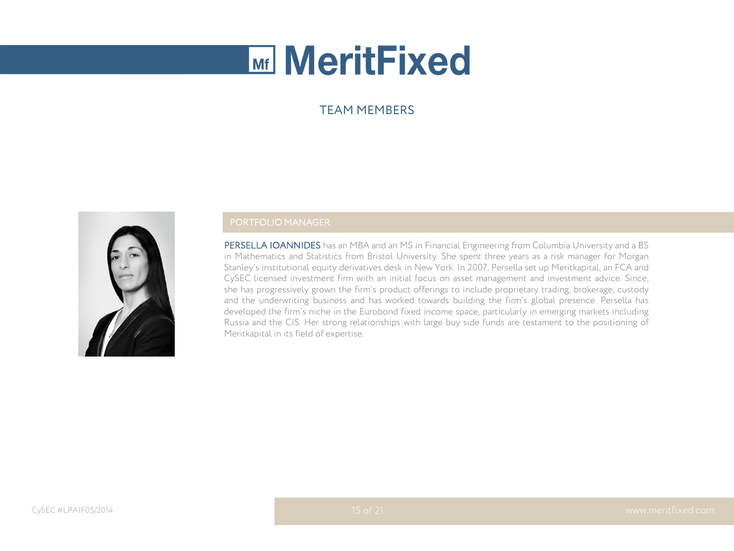#### TEAM MEMBERS



#### PORTFOLIO MANAGER

PERSELLA IOANNIDES has an MBA and an MS in Financial Engineering from Columbia University and a BS in Mathematics and Statistics from Bristol University. She spent three years as a risk manager for Morgan Stanley's institutional equity derivatives desk in New York. In 2007, Persella set up Meritkapital, an FCA and CySEC licensed investment firm with an initial focus on asset management and investment advice. Since, she has progressively grown the firm's product offerings to include proprietary trading, brokerage, custody and the underwriting business and has worked towards building the firm's global presence. Persella has developed the firm's niche in the Eurobond fixed income space, particularly in emerging markets including Russia and the CIS. Her strong relationships with large buy side funds are testament to the positioning of Meritkapital in its field of expertise.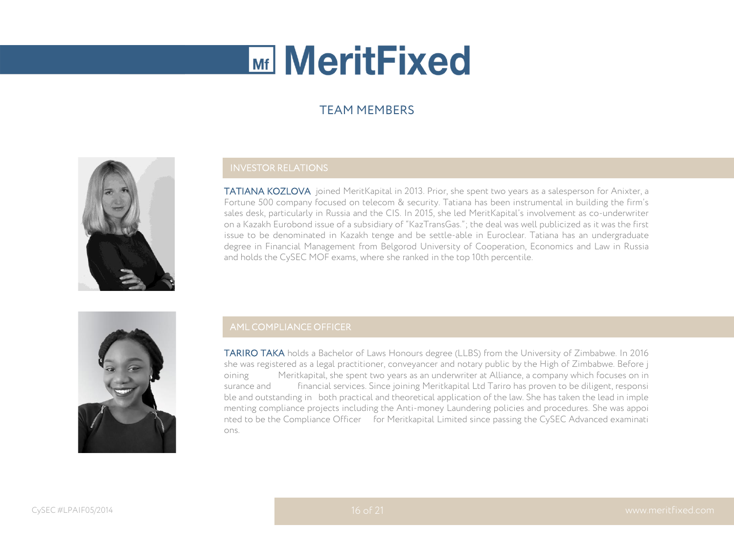### TEAM MEMBERS



#### INVESTOR RELATIONS

TATIANA KOZLOVA joined MeritKapital in 2013. Prior, she spent two years as a salesperson for Anixter, a Fortune 500 company focused on telecom & security. Tatiana has been instrumental in building the firm's sales desk, particularly in Russia and the CIS. In 2015, she led MeritKapital's involvement as co-underwriter on a Kazakh Eurobond issue of a subsidiary of "KazTransGas."; the deal was well publicized as it was the first issue to be denominated in Kazakh tenge and be settle-able in Euroclear. Tatiana has an undergraduate degree in Financial Management from Belgorod University of Cooperation, Economics and Law in Russia and holds the CySEC MOF exams, where she ranked in the top 10th percentile.



#### AML COMPLIANCE OFFICER

TARIRO TAKA holds a Bachelor of Laws Honours degree (LLBS) from the University of Zimbabwe. In 2016 she was registered as a legal practitioner, conveyancer and notary public by the High of Zimbabwe. Before j oining Meritkapital, she spent two years as an underwriter at Alliance, a company which focuses on in surance and financial services. Since joining Meritkapital Ltd Tariro has proven to be diligent, responsi ble and outstanding in both practical and theoretical application of the law. She has taken the lead in imple menting compliance projects including the Anti-money Laundering policies and procedures. She was appoi nted to be the Compliance Officer for Meritkapital Limited since passing the CySEC Advanced examinati ons.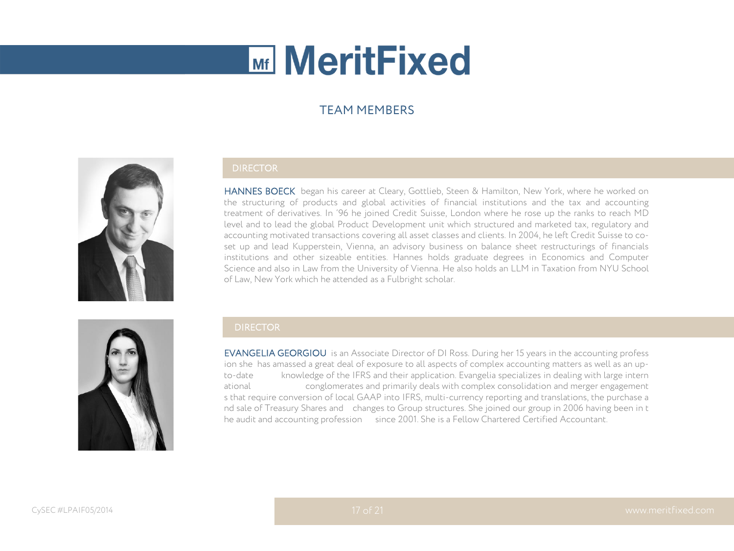### TEAM MEMBERS



#### DIRECTOR

HANNES BOECK began his career at Cleary, Gottlieb, Steen & Hamilton, New York, where he worked on the structuring of products and global activities of financial institutions and the tax and accounting treatment of derivatives. In '96 he joined Credit Suisse, London where he rose up the ranks to reach MD level and to lead the global Product Development unit which structured and marketed tax, regulatory and accounting motivated transactions covering all asset classes and clients. In 2004, he left Credit Suisse to coset up and lead Kupperstein, Vienna, an advisory business on balance sheet restructurings of financials institutions and other sizeable entities. Hannes holds graduate degrees in Economics and Computer Science and also in Law from the University of Vienna. He also holds an LLM in Taxation from NYU School of Law, New York which he attended as a Fulbright scholar.



#### **DIRECTOR**

EVANGELIA GEORGIOU is an Associate Director of DI Ross. During her 15 years in the accounting profess ion she has amassed a great deal of exposure to all aspects of complex accounting matters as well as an upto-date knowledge of the IFRS and their application. Evangelia specializes in dealing with large intern ational conglomerates and primarily deals with complex consolidation and merger engagement s that require conversion of local GAAP into IFRS, multi-currency reporting and translations, the purchase a nd sale of Treasury Shares and changes to Group structures. She joined our group in 2006 having been in t he audit and accounting profession since 2001. She is a Fellow Chartered Certified Accountant.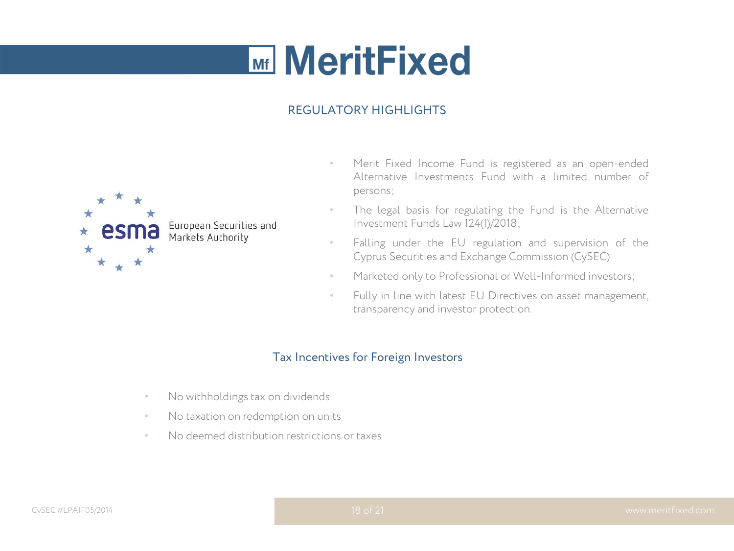### REGULATORY HIGHLIGHTS



- Merit Fixed Income Fund is registered as an open-ended Alternative Investments Fund with a limited number of persons;
- The legal basis for regulating the Fund is the Alternative Investment Funds Law 124(I)/2018;
- Falling under the EU regulation and supervision of the Cyprus Securities and Exchange Commission (CySEC)
- Marketed only to Professional or Well-Informed investors;
- Fully in line with latest EU Directives on asset management, transparency and investor protection.

### Tax Incentives for Foreign Investors

- No withholdings tax on dividends
- No taxation on redemption on units
- No deemed distribution restrictions or taxes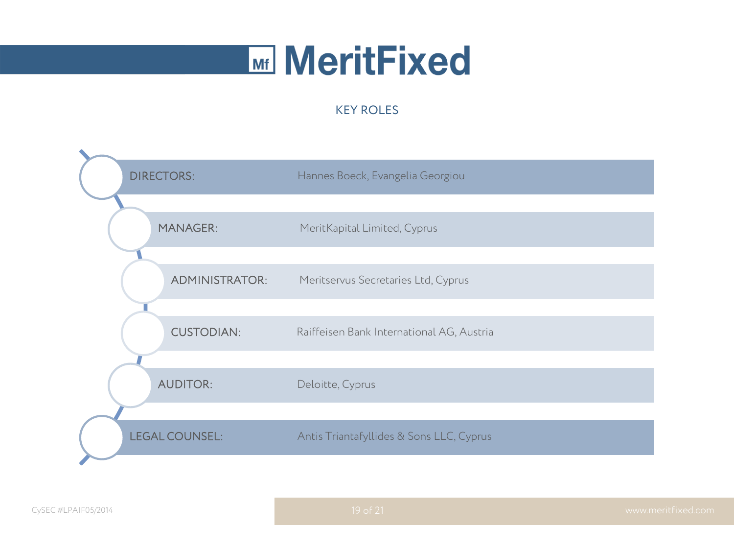### KEY ROLES

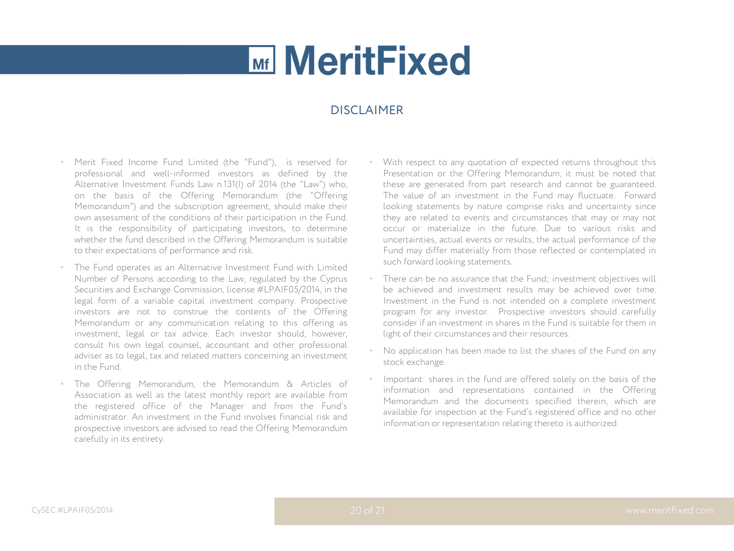#### DISCI AIMER

- Merit Fixed Income Fund Limited (the "Fund"), is reserved for professional and well-informed investors as defined by the Alternative Investment Funds Law n.131(I) of 2014 (the "Law") who, on the basis of the Offering Memorandum (the "Offering Memorandum") and the subscription agreement, should make their own assessment of the conditions of their participation in the Fund. It is the responsibility of participating investors, to determine whether the fund described in the Offering Memorandum is suitable to their expectations of performance and risk.
- The Fund operates as an Alternative Investment Fund with Limited Number of Persons according to the Law, regulated by the Cyprus Securities and Exchange Commission, license #LPAIF05/2014, in the legal form of a variable capital investment company. Prospective investors are not to construe the contents of the Offering Memorandum or any communication relating to this offering as investment, legal or tax advice. Each investor should, however, consult his own legal counsel, accountant and other professional adviser as to legal, tax and related matters concerning an investment in the Fund.
- The Offering Memorandum, the Memorandum & Articles of Association as well as the latest monthly report are available from the registered office of the Manager and from the Fund's administrator. An investment in the Fund involves financial risk and prospective investors are advised to read the Offering Memorandum carefully in its entirety.
- With respect to any quotation of expected returns throughout this Presentation or the Offering Memorandum, it must be noted that these are generated from part research and cannot be guaranteed. The value of an investment in the Fund may fluctuate. Forward looking statements by nature comprise risks and uncertainty since they are related to events and circumstances that may or may not occur or materialize in the future. Due to various risks and uncertainties, actual events or results, the actual performance of the Fund may differ materially from those reflected or contemplated in such forward looking statements.
- There can be no assurance that the Fund; investment objectives will be achieved and investment results may be achieved over time. Investment in the Fund is not intended on a complete investment program for any investor. Prospective investors should carefully consider if an investment in shares in the Fund is suitable for them in light of their circumstances and their resources.
- No application has been made to list the shares of the Fund on any stock exchange.
- Important: shares in the fund are offered solely on the basis of the information and representations contained in the Offering Memorandum and the documents specified therein, which are available for inspection at the Fund's registered office and no other information or representation relating thereto is authorized.